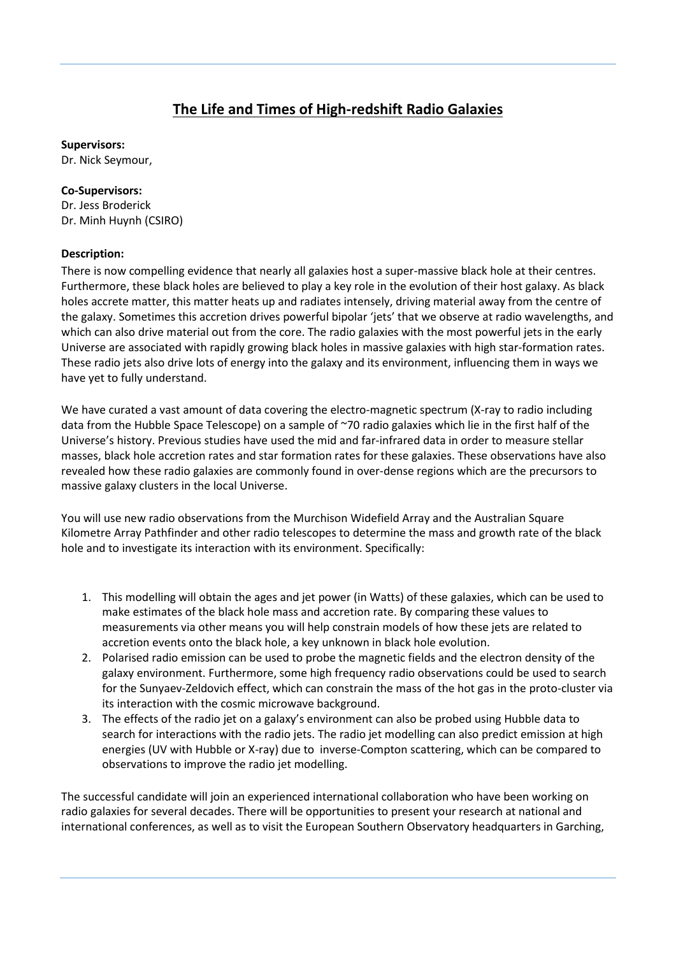## **The Life and Times of High-redshift Radio Galaxies**

**Supervisors:**

Dr. Nick Seymour,

## **Co-Supervisors:**

Dr. Jess Broderick Dr. Minh Huynh (CSIRO)

## **Description:**

There is now compelling evidence that nearly all galaxies host a super-massive black hole at their centres. Furthermore, these black holes are believed to play a key role in the evolution of their host galaxy. As black holes accrete matter, this matter heats up and radiates intensely, driving material away from the centre of the galaxy. Sometimes this accretion drives powerful bipolar 'jets' that we observe at radio wavelengths, and which can also drive material out from the core. The radio galaxies with the most powerful jets in the early Universe are associated with rapidly growing black holes in massive galaxies with high star-formation rates. These radio jets also drive lots of energy into the galaxy and its environment, influencing them in ways we have yet to fully understand.

We have curated a vast amount of data covering the electro-magnetic spectrum (X-ray to radio including data from the Hubble Space Telescope) on a sample of ~70 radio galaxies which lie in the first half of the Universe's history. Previous studies have used the mid and far-infrared data in order to measure stellar masses, black hole accretion rates and star formation rates for these galaxies. These observations have also revealed how these radio galaxies are commonly found in over-dense regions which are the precursors to massive galaxy clusters in the local Universe.

You will use new radio observations from the Murchison Widefield Array and the Australian Square Kilometre Array Pathfinder and other radio telescopes to determine the mass and growth rate of the black hole and to investigate its interaction with its environment. Specifically:

- 1. This modelling will obtain the ages and jet power (in Watts) of these galaxies, which can be used to make estimates of the black hole mass and accretion rate. By comparing these values to measurements via other means you will help constrain models of how these jets are related to accretion events onto the black hole, a key unknown in black hole evolution.
- 2. Polarised radio emission can be used to probe the magnetic fields and the electron density of the galaxy environment. Furthermore, some high frequency radio observations could be used to search for the Sunyaev-Zeldovich effect, which can constrain the mass of the hot gas in the proto-cluster via its interaction with the cosmic microwave background.
- 3. The effects of the radio jet on a galaxy's environment can also be probed using Hubble data to search for interactions with the radio jets. The radio jet modelling can also predict emission at high energies (UV with Hubble or X-ray) due to inverse-Compton scattering, which can be compared to observations to improve the radio jet modelling.

The successful candidate will join an experienced international collaboration who have been working on radio galaxies for several decades. There will be opportunities to present your research at national and international conferences, as well as to visit the European Southern Observatory headquarters in Garching,